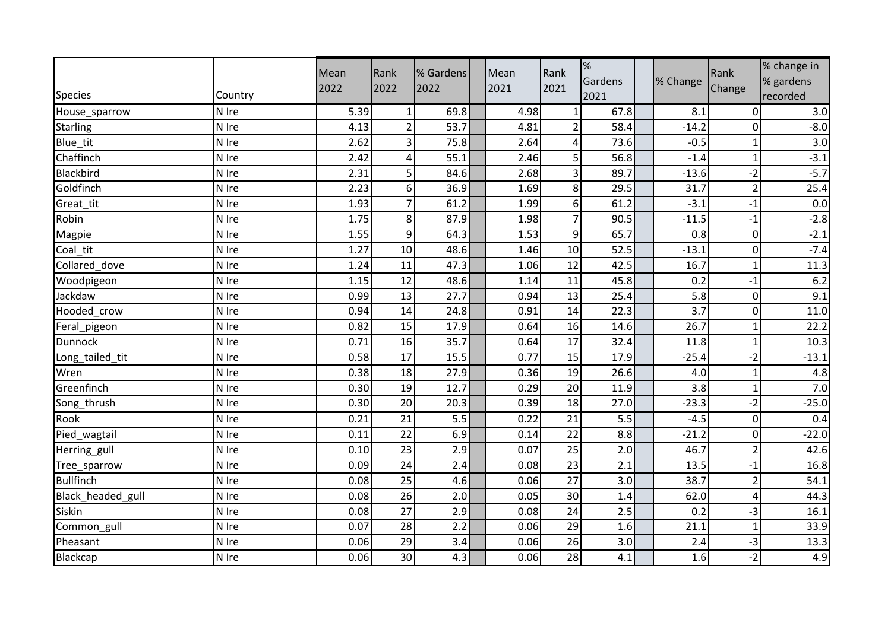| <b>Species</b>    | Country | Mean<br>2022 | Rank<br>2022    | % Gardens<br>2022 | Mean<br>2021 | Rank<br>2021    | %<br>Gardens<br>2021 | % Change | Rank<br>Change | % change in<br>% gardens<br>recorded |
|-------------------|---------|--------------|-----------------|-------------------|--------------|-----------------|----------------------|----------|----------------|--------------------------------------|
| House_sparrow     | N Ire   | 5.39         | $\mathbf{1}$    | 69.8              | 4.98         | $\mathbf{1}$    | 67.8                 | 8.1      | $\Omega$       | $\overline{3.0}$                     |
| Starling          | N Ire   | 4.13         | $\overline{2}$  | 53.7              | 4.81         | $\overline{2}$  | 58.4                 | $-14.2$  | $\Omega$       | $-8.0$                               |
| Blue_tit          | N Ire   | 2.62         | 3               | 75.8              | 2.64         | 4               | 73.6                 | $-0.5$   | $\mathbf{1}$   | $\overline{3.0}$                     |
| Chaffinch         | N Ire   | 2.42         | 4               | 55.1              | 2.46         | 5 <sup>1</sup>  | 56.8                 | $-1.4$   | $\mathbf 1$    | $-3.1$                               |
| <b>Blackbird</b>  | N Ire   | 2.31         | 5               | 84.6              | 2.68         | 3               | 89.7                 | $-13.6$  | $-2$           | $-5.7$                               |
| Goldfinch         | N Ire   | 2.23         | 6               | 36.9              | 1.69         | 8 <sup>1</sup>  | 29.5                 | 31.7     | $\overline{2}$ | 25.4                                 |
| Great_tit         | N Ire   | 1.93         | $\overline{7}$  | 61.2              | 1.99         | 6               | 61.2                 | $-3.1$   | $-1$           | 0.0                                  |
| Robin             | N Ire   | 1.75         | 8               | 87.9              | 1.98         | $\overline{7}$  | 90.5                 | $-11.5$  | $-1$           | $-2.8$                               |
| Magpie            | N Ire   | 1.55         | 9               | 64.3              | 1.53         | 9               | 65.7                 | 0.8      | $\overline{0}$ | $-2.1$                               |
| Coal_tit          | N Ire   | 1.27         | 10              | 48.6              | 1.46         | 10 <sup>1</sup> | 52.5                 | $-13.1$  | $\overline{0}$ | $-7.4$                               |
| Collared_dove     | N Ire   | 1.24         | 11              | 47.3              | 1.06         | 12              | 42.5                 | 16.7     | $\mathbf{1}$   | 11.3                                 |
| Woodpigeon        | N Ire   | 1.15         | 12              | 48.6              | 1.14         | 11              | 45.8                 | 0.2      | $-1$           | 6.2                                  |
| Jackdaw           | N Ire   | 0.99         | 13              | 27.7              | 0.94         | 13              | 25.4                 | 5.8      | $\overline{0}$ | 9.1                                  |
| Hooded crow       | N Ire   | 0.94         | 14              | 24.8              | 0.91         | 14              | 22.3                 | 3.7      | $\overline{0}$ | 11.0                                 |
| Feral_pigeon      | N Ire   | 0.82         | 15              | 17.9              | 0.64         | 16              | 14.6                 | 26.7     | $\mathbf{1}$   | 22.2                                 |
| <b>Dunnock</b>    | N Ire   | 0.71         | 16              | 35.7              | 0.64         | 17              | 32.4                 | 11.8     | $\mathbf 1$    | 10.3                                 |
| Long_tailed_tit   | N Ire   | 0.58         | 17              | 15.5              | 0.77         | 15              | 17.9                 | $-25.4$  | $-2$           | $-13.1$                              |
| Wren              | N Ire   | 0.38         | 18              | 27.9              | 0.36         | 19              | 26.6                 | 4.0      | $\mathbf 1$    | 4.8                                  |
| Greenfinch        | N Ire   | 0.30         | 19              | 12.7              | 0.29         | 20              | 11.9                 | 3.8      | $\mathbf 1$    | 7.0                                  |
| Song_thrush       | N Ire   | 0.30         | 20              | 20.3              | 0.39         | 18              | 27.0                 | $-23.3$  | $-2$           | $-25.0$                              |
| Rook              | N Ire   | 0.21         | $\overline{21}$ | 5.5               | 0.22         | 21              | 5.5                  | $-4.5$   | $\overline{0}$ | 0.4                                  |
| Pied_wagtail      | N Ire   | 0.11         | 22              | 6.9               | 0.14         | 22              | 8.8                  | $-21.2$  | $\overline{0}$ | $-22.0$                              |
| Herring_gull      | N Ire   | 0.10         | 23              | 2.9               | 0.07         | 25              | 2.0                  | 46.7     | $\overline{2}$ | 42.6                                 |
| Tree_sparrow      | N Ire   | 0.09         | 24              | 2.4               | 0.08         | 23              | 2.1                  | 13.5     | $-1$           | 16.8                                 |
| <b>Bullfinch</b>  | N Ire   | 0.08         | 25              | 4.6               | 0.06         | 27              | 3.0                  | 38.7     | $\overline{2}$ | 54.1                                 |
| Black_headed_gull | N Ire   | 0.08         | 26              | 2.0               | 0.05         | 30              | 1.4                  | 62.0     | 4              | 44.3                                 |
| Siskin            | N Ire   | 0.08         | 27              | 2.9               | 0.08         | 24              | 2.5                  | 0.2      | $-3$           | 16.1                                 |
| Common_gull       | N Ire   | 0.07         | 28              | 2.2               | 0.06         | 29              | 1.6                  | 21.1     | $\mathbf 1$    | 33.9                                 |
| Pheasant          | N Ire   | 0.06         | 29              | 3.4               | 0.06         | 26              | 3.0                  | 2.4      | $-3$           | 13.3                                 |
| Blackcap          | N Ire   | 0.06         | 30              | 4.3               | 0.06         | 28              | 4.1                  | 1.6      | $-2$           | 4.9                                  |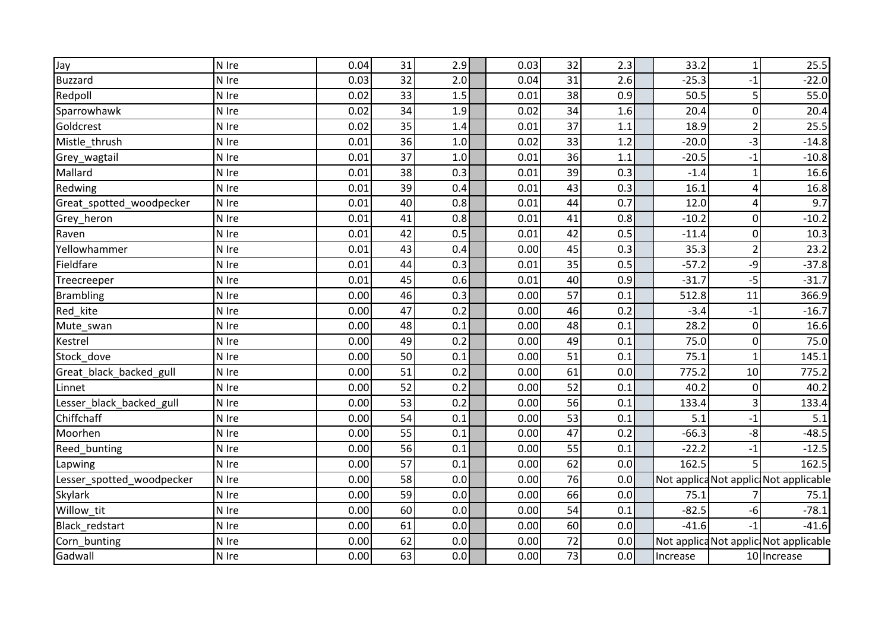| N Ire<br>0.04<br>31<br>0.03<br>2.3<br>$\mathbf{1}$<br>Jay<br>32<br>0.03<br>2.0<br>31<br>0.04<br>2.6<br>$-25.3$<br><b>Buzzard</b><br>N Ire<br>$-1$<br>5<br>33<br>1.5<br>38<br>0.02<br>0.01<br>0.9<br>50.5<br>Redpoll<br>N Ire<br>34<br>34<br>$\overline{0}$<br>0.02<br>1.9<br>0.02<br>1.6<br>20.4<br>Sparrowhawk<br>N Ire<br>35<br>37<br>$\overline{2}$<br>Goldcrest<br>0.02<br>0.01<br>1.1<br>18.9<br>N Ire<br>1.4<br>36<br>33<br>$-3$<br>$1.0\,$<br>0.02<br>1.2<br>$-20.0$<br>Mistle_thrush<br>N Ire<br>0.01<br>37<br>36<br>$1.0\,$<br>0.01<br>$-20.5$<br>$\textbf{-1}$<br>N Ire<br>0.01<br>1.1<br>Grey_wagtail<br>$\overline{38}$<br>39<br>Mallard<br>0.3<br>0.3<br>0.01<br>0.01<br>$-1.4$<br>$\mathbf{1}$<br>N Ire<br>39<br>43<br>0.4<br>0.01<br>0.3<br>16.1<br>Redwing<br>N Ire<br>0.01<br>4<br>40<br>44<br>Great_spotted_woodpecker<br>N Ire<br>0.01<br>0.8<br>0.01<br>0.7<br>12.0<br>4<br>$\overline{0}$<br>Grey_heron<br>0.01<br>41<br>0.8<br>0.01<br>41<br>0.8<br>$-10.2$<br>N Ire<br>42<br>0.5<br>0.01<br>42<br>0.5<br>$\overline{0}$<br>N Ire<br>0.01<br>$-11.4$<br>Raven<br>43<br>45<br>$\overline{2}$<br>Yellowhammer<br>N Ire<br>0.01<br>0.4<br>0.00<br>0.3<br>35.3<br>Fieldfare<br>44<br>0.3<br>35<br>$-57.2$<br>$-9$<br>N Ire<br>0.01<br>0.01<br>0.5<br>$-5$<br>45<br>0.6<br>40<br>0.9<br>$-31.7$<br>0.01<br>0.01<br>N Ire<br>Treecreeper<br>57<br>46<br>11<br>0.00<br>0.3<br>0.00<br>0.1<br>512.8<br>Brambling<br>N Ire<br>47<br>46<br>Red kite<br>0.00<br>0.2<br>0.00<br>0.2<br>$-3.4$<br>$\textbf{-1}$<br>N Ire<br>0.00<br>48<br>0.1<br>0.00<br>48<br>28.2<br>$\overline{0}$<br>N Ire<br>0.1<br>Mute_swan<br>$\overline{0}$<br>49<br>0.2<br>49<br>Kestrel<br>0.00<br>0.00<br>0.1<br>75.0<br>N Ire<br>50<br>51<br>0.00<br>0.1<br>75.1<br>N Ire<br>0.00<br>0.1<br>$\mathbf 1$<br>Stock dove<br>51<br>0.2<br>61<br>775.2<br>10<br>Great black backed gull<br>N Ire<br>0.00<br>0.00<br>0.0<br>52<br>0.2<br>52<br>N Ire<br>0.00<br>0.00<br>0.1<br>40.2<br>$\overline{0}$<br>Linnet<br>53<br>56<br>3<br>0.00<br>0.2<br>0.00<br>0.1<br>Lesser_black_backed_gull<br>N Ire<br>133.4<br>54<br>53<br>Chiffchaff<br>0.00<br>0.1<br>0.00<br>0.1<br>5.1<br>$-1$<br>N Ire<br>55<br>47<br>$-8$<br>Moorhen<br>N Ire<br>0.00<br>0.1<br>0.00<br>0.2<br>$-66.3$<br>56<br>Reed_bunting<br>0.1<br>55<br>$-22.2$<br>N Ire<br>0.00<br>0.00<br>0.1<br>$-1$<br>57<br>62<br>162.5<br>5<br>0.00<br>0.1<br>0.00<br>0.0<br>N Ire<br>Lapwing<br>0.00<br>58<br>76<br>Not applica Not applic Not applicable<br>0.0<br>0.00<br>0.0<br>Lesser_spotted_woodpecker<br>N Ire<br>59<br>66<br>0.0<br>75.1<br><b>Skylark</b><br>N Ire<br>0.00<br>0.00<br>0.0<br>Willow tit<br>0.00<br>60<br>0.0<br>54<br>$-82.5$<br>N Ire<br>0.00<br>0.1<br>$-6$<br>60<br>0.00<br>61<br>0.0<br>$-41.6$<br>Black_redstart<br>0.00<br>0.0<br>$-1$<br>N Ire<br>62<br>72<br>0.00<br>0.0<br>0.00<br>Not applica Not applic Not applicable<br>Corn bunting<br>N Ire<br>0.0<br>63<br>73<br>0.0<br>0.00<br>0.00<br>0.0<br>Gadwall<br>N Ire<br>10 Increase<br>Increase |  |  |     |  |    |  |      |         |
|------------------------------------------------------------------------------------------------------------------------------------------------------------------------------------------------------------------------------------------------------------------------------------------------------------------------------------------------------------------------------------------------------------------------------------------------------------------------------------------------------------------------------------------------------------------------------------------------------------------------------------------------------------------------------------------------------------------------------------------------------------------------------------------------------------------------------------------------------------------------------------------------------------------------------------------------------------------------------------------------------------------------------------------------------------------------------------------------------------------------------------------------------------------------------------------------------------------------------------------------------------------------------------------------------------------------------------------------------------------------------------------------------------------------------------------------------------------------------------------------------------------------------------------------------------------------------------------------------------------------------------------------------------------------------------------------------------------------------------------------------------------------------------------------------------------------------------------------------------------------------------------------------------------------------------------------------------------------------------------------------------------------------------------------------------------------------------------------------------------------------------------------------------------------------------------------------------------------------------------------------------------------------------------------------------------------------------------------------------------------------------------------------------------------------------------------------------------------------------------------------------------------------------------------------------------------------------------------------------------------------------------------------------------------------------------------------------------------------------------------------------------------------------------------------------------------------------------------------------------------------------------------------------------------------------------------------------------------------------------------------------------------|--|--|-----|--|----|--|------|---------|
|                                                                                                                                                                                                                                                                                                                                                                                                                                                                                                                                                                                                                                                                                                                                                                                                                                                                                                                                                                                                                                                                                                                                                                                                                                                                                                                                                                                                                                                                                                                                                                                                                                                                                                                                                                                                                                                                                                                                                                                                                                                                                                                                                                                                                                                                                                                                                                                                                                                                                                                                                                                                                                                                                                                                                                                                                                                                                                                                                                                                                        |  |  | 2.9 |  | 32 |  | 33.2 | 25.5    |
|                                                                                                                                                                                                                                                                                                                                                                                                                                                                                                                                                                                                                                                                                                                                                                                                                                                                                                                                                                                                                                                                                                                                                                                                                                                                                                                                                                                                                                                                                                                                                                                                                                                                                                                                                                                                                                                                                                                                                                                                                                                                                                                                                                                                                                                                                                                                                                                                                                                                                                                                                                                                                                                                                                                                                                                                                                                                                                                                                                                                                        |  |  |     |  |    |  |      | $-22.0$ |
|                                                                                                                                                                                                                                                                                                                                                                                                                                                                                                                                                                                                                                                                                                                                                                                                                                                                                                                                                                                                                                                                                                                                                                                                                                                                                                                                                                                                                                                                                                                                                                                                                                                                                                                                                                                                                                                                                                                                                                                                                                                                                                                                                                                                                                                                                                                                                                                                                                                                                                                                                                                                                                                                                                                                                                                                                                                                                                                                                                                                                        |  |  |     |  |    |  |      | 55.0    |
|                                                                                                                                                                                                                                                                                                                                                                                                                                                                                                                                                                                                                                                                                                                                                                                                                                                                                                                                                                                                                                                                                                                                                                                                                                                                                                                                                                                                                                                                                                                                                                                                                                                                                                                                                                                                                                                                                                                                                                                                                                                                                                                                                                                                                                                                                                                                                                                                                                                                                                                                                                                                                                                                                                                                                                                                                                                                                                                                                                                                                        |  |  |     |  |    |  |      | 20.4    |
|                                                                                                                                                                                                                                                                                                                                                                                                                                                                                                                                                                                                                                                                                                                                                                                                                                                                                                                                                                                                                                                                                                                                                                                                                                                                                                                                                                                                                                                                                                                                                                                                                                                                                                                                                                                                                                                                                                                                                                                                                                                                                                                                                                                                                                                                                                                                                                                                                                                                                                                                                                                                                                                                                                                                                                                                                                                                                                                                                                                                                        |  |  |     |  |    |  |      | 25.5    |
|                                                                                                                                                                                                                                                                                                                                                                                                                                                                                                                                                                                                                                                                                                                                                                                                                                                                                                                                                                                                                                                                                                                                                                                                                                                                                                                                                                                                                                                                                                                                                                                                                                                                                                                                                                                                                                                                                                                                                                                                                                                                                                                                                                                                                                                                                                                                                                                                                                                                                                                                                                                                                                                                                                                                                                                                                                                                                                                                                                                                                        |  |  |     |  |    |  |      | $-14.8$ |
|                                                                                                                                                                                                                                                                                                                                                                                                                                                                                                                                                                                                                                                                                                                                                                                                                                                                                                                                                                                                                                                                                                                                                                                                                                                                                                                                                                                                                                                                                                                                                                                                                                                                                                                                                                                                                                                                                                                                                                                                                                                                                                                                                                                                                                                                                                                                                                                                                                                                                                                                                                                                                                                                                                                                                                                                                                                                                                                                                                                                                        |  |  |     |  |    |  |      | $-10.8$ |
|                                                                                                                                                                                                                                                                                                                                                                                                                                                                                                                                                                                                                                                                                                                                                                                                                                                                                                                                                                                                                                                                                                                                                                                                                                                                                                                                                                                                                                                                                                                                                                                                                                                                                                                                                                                                                                                                                                                                                                                                                                                                                                                                                                                                                                                                                                                                                                                                                                                                                                                                                                                                                                                                                                                                                                                                                                                                                                                                                                                                                        |  |  |     |  |    |  |      | 16.6    |
|                                                                                                                                                                                                                                                                                                                                                                                                                                                                                                                                                                                                                                                                                                                                                                                                                                                                                                                                                                                                                                                                                                                                                                                                                                                                                                                                                                                                                                                                                                                                                                                                                                                                                                                                                                                                                                                                                                                                                                                                                                                                                                                                                                                                                                                                                                                                                                                                                                                                                                                                                                                                                                                                                                                                                                                                                                                                                                                                                                                                                        |  |  |     |  |    |  |      | 16.8    |
|                                                                                                                                                                                                                                                                                                                                                                                                                                                                                                                                                                                                                                                                                                                                                                                                                                                                                                                                                                                                                                                                                                                                                                                                                                                                                                                                                                                                                                                                                                                                                                                                                                                                                                                                                                                                                                                                                                                                                                                                                                                                                                                                                                                                                                                                                                                                                                                                                                                                                                                                                                                                                                                                                                                                                                                                                                                                                                                                                                                                                        |  |  |     |  |    |  |      | 9.7     |
|                                                                                                                                                                                                                                                                                                                                                                                                                                                                                                                                                                                                                                                                                                                                                                                                                                                                                                                                                                                                                                                                                                                                                                                                                                                                                                                                                                                                                                                                                                                                                                                                                                                                                                                                                                                                                                                                                                                                                                                                                                                                                                                                                                                                                                                                                                                                                                                                                                                                                                                                                                                                                                                                                                                                                                                                                                                                                                                                                                                                                        |  |  |     |  |    |  |      | $-10.2$ |
|                                                                                                                                                                                                                                                                                                                                                                                                                                                                                                                                                                                                                                                                                                                                                                                                                                                                                                                                                                                                                                                                                                                                                                                                                                                                                                                                                                                                                                                                                                                                                                                                                                                                                                                                                                                                                                                                                                                                                                                                                                                                                                                                                                                                                                                                                                                                                                                                                                                                                                                                                                                                                                                                                                                                                                                                                                                                                                                                                                                                                        |  |  |     |  |    |  |      | 10.3    |
|                                                                                                                                                                                                                                                                                                                                                                                                                                                                                                                                                                                                                                                                                                                                                                                                                                                                                                                                                                                                                                                                                                                                                                                                                                                                                                                                                                                                                                                                                                                                                                                                                                                                                                                                                                                                                                                                                                                                                                                                                                                                                                                                                                                                                                                                                                                                                                                                                                                                                                                                                                                                                                                                                                                                                                                                                                                                                                                                                                                                                        |  |  |     |  |    |  |      | 23.2    |
|                                                                                                                                                                                                                                                                                                                                                                                                                                                                                                                                                                                                                                                                                                                                                                                                                                                                                                                                                                                                                                                                                                                                                                                                                                                                                                                                                                                                                                                                                                                                                                                                                                                                                                                                                                                                                                                                                                                                                                                                                                                                                                                                                                                                                                                                                                                                                                                                                                                                                                                                                                                                                                                                                                                                                                                                                                                                                                                                                                                                                        |  |  |     |  |    |  |      | $-37.8$ |
|                                                                                                                                                                                                                                                                                                                                                                                                                                                                                                                                                                                                                                                                                                                                                                                                                                                                                                                                                                                                                                                                                                                                                                                                                                                                                                                                                                                                                                                                                                                                                                                                                                                                                                                                                                                                                                                                                                                                                                                                                                                                                                                                                                                                                                                                                                                                                                                                                                                                                                                                                                                                                                                                                                                                                                                                                                                                                                                                                                                                                        |  |  |     |  |    |  |      | $-31.7$ |
|                                                                                                                                                                                                                                                                                                                                                                                                                                                                                                                                                                                                                                                                                                                                                                                                                                                                                                                                                                                                                                                                                                                                                                                                                                                                                                                                                                                                                                                                                                                                                                                                                                                                                                                                                                                                                                                                                                                                                                                                                                                                                                                                                                                                                                                                                                                                                                                                                                                                                                                                                                                                                                                                                                                                                                                                                                                                                                                                                                                                                        |  |  |     |  |    |  |      | 366.9   |
|                                                                                                                                                                                                                                                                                                                                                                                                                                                                                                                                                                                                                                                                                                                                                                                                                                                                                                                                                                                                                                                                                                                                                                                                                                                                                                                                                                                                                                                                                                                                                                                                                                                                                                                                                                                                                                                                                                                                                                                                                                                                                                                                                                                                                                                                                                                                                                                                                                                                                                                                                                                                                                                                                                                                                                                                                                                                                                                                                                                                                        |  |  |     |  |    |  |      | $-16.7$ |
|                                                                                                                                                                                                                                                                                                                                                                                                                                                                                                                                                                                                                                                                                                                                                                                                                                                                                                                                                                                                                                                                                                                                                                                                                                                                                                                                                                                                                                                                                                                                                                                                                                                                                                                                                                                                                                                                                                                                                                                                                                                                                                                                                                                                                                                                                                                                                                                                                                                                                                                                                                                                                                                                                                                                                                                                                                                                                                                                                                                                                        |  |  |     |  |    |  |      | 16.6    |
|                                                                                                                                                                                                                                                                                                                                                                                                                                                                                                                                                                                                                                                                                                                                                                                                                                                                                                                                                                                                                                                                                                                                                                                                                                                                                                                                                                                                                                                                                                                                                                                                                                                                                                                                                                                                                                                                                                                                                                                                                                                                                                                                                                                                                                                                                                                                                                                                                                                                                                                                                                                                                                                                                                                                                                                                                                                                                                                                                                                                                        |  |  |     |  |    |  |      | 75.0    |
|                                                                                                                                                                                                                                                                                                                                                                                                                                                                                                                                                                                                                                                                                                                                                                                                                                                                                                                                                                                                                                                                                                                                                                                                                                                                                                                                                                                                                                                                                                                                                                                                                                                                                                                                                                                                                                                                                                                                                                                                                                                                                                                                                                                                                                                                                                                                                                                                                                                                                                                                                                                                                                                                                                                                                                                                                                                                                                                                                                                                                        |  |  |     |  |    |  |      | 145.1   |
|                                                                                                                                                                                                                                                                                                                                                                                                                                                                                                                                                                                                                                                                                                                                                                                                                                                                                                                                                                                                                                                                                                                                                                                                                                                                                                                                                                                                                                                                                                                                                                                                                                                                                                                                                                                                                                                                                                                                                                                                                                                                                                                                                                                                                                                                                                                                                                                                                                                                                                                                                                                                                                                                                                                                                                                                                                                                                                                                                                                                                        |  |  |     |  |    |  |      | 775.2   |
|                                                                                                                                                                                                                                                                                                                                                                                                                                                                                                                                                                                                                                                                                                                                                                                                                                                                                                                                                                                                                                                                                                                                                                                                                                                                                                                                                                                                                                                                                                                                                                                                                                                                                                                                                                                                                                                                                                                                                                                                                                                                                                                                                                                                                                                                                                                                                                                                                                                                                                                                                                                                                                                                                                                                                                                                                                                                                                                                                                                                                        |  |  |     |  |    |  |      | 40.2    |
|                                                                                                                                                                                                                                                                                                                                                                                                                                                                                                                                                                                                                                                                                                                                                                                                                                                                                                                                                                                                                                                                                                                                                                                                                                                                                                                                                                                                                                                                                                                                                                                                                                                                                                                                                                                                                                                                                                                                                                                                                                                                                                                                                                                                                                                                                                                                                                                                                                                                                                                                                                                                                                                                                                                                                                                                                                                                                                                                                                                                                        |  |  |     |  |    |  |      | 133.4   |
|                                                                                                                                                                                                                                                                                                                                                                                                                                                                                                                                                                                                                                                                                                                                                                                                                                                                                                                                                                                                                                                                                                                                                                                                                                                                                                                                                                                                                                                                                                                                                                                                                                                                                                                                                                                                                                                                                                                                                                                                                                                                                                                                                                                                                                                                                                                                                                                                                                                                                                                                                                                                                                                                                                                                                                                                                                                                                                                                                                                                                        |  |  |     |  |    |  |      | 5.1     |
|                                                                                                                                                                                                                                                                                                                                                                                                                                                                                                                                                                                                                                                                                                                                                                                                                                                                                                                                                                                                                                                                                                                                                                                                                                                                                                                                                                                                                                                                                                                                                                                                                                                                                                                                                                                                                                                                                                                                                                                                                                                                                                                                                                                                                                                                                                                                                                                                                                                                                                                                                                                                                                                                                                                                                                                                                                                                                                                                                                                                                        |  |  |     |  |    |  |      | $-48.5$ |
|                                                                                                                                                                                                                                                                                                                                                                                                                                                                                                                                                                                                                                                                                                                                                                                                                                                                                                                                                                                                                                                                                                                                                                                                                                                                                                                                                                                                                                                                                                                                                                                                                                                                                                                                                                                                                                                                                                                                                                                                                                                                                                                                                                                                                                                                                                                                                                                                                                                                                                                                                                                                                                                                                                                                                                                                                                                                                                                                                                                                                        |  |  |     |  |    |  |      | $-12.5$ |
|                                                                                                                                                                                                                                                                                                                                                                                                                                                                                                                                                                                                                                                                                                                                                                                                                                                                                                                                                                                                                                                                                                                                                                                                                                                                                                                                                                                                                                                                                                                                                                                                                                                                                                                                                                                                                                                                                                                                                                                                                                                                                                                                                                                                                                                                                                                                                                                                                                                                                                                                                                                                                                                                                                                                                                                                                                                                                                                                                                                                                        |  |  |     |  |    |  |      | 162.5   |
|                                                                                                                                                                                                                                                                                                                                                                                                                                                                                                                                                                                                                                                                                                                                                                                                                                                                                                                                                                                                                                                                                                                                                                                                                                                                                                                                                                                                                                                                                                                                                                                                                                                                                                                                                                                                                                                                                                                                                                                                                                                                                                                                                                                                                                                                                                                                                                                                                                                                                                                                                                                                                                                                                                                                                                                                                                                                                                                                                                                                                        |  |  |     |  |    |  |      |         |
|                                                                                                                                                                                                                                                                                                                                                                                                                                                                                                                                                                                                                                                                                                                                                                                                                                                                                                                                                                                                                                                                                                                                                                                                                                                                                                                                                                                                                                                                                                                                                                                                                                                                                                                                                                                                                                                                                                                                                                                                                                                                                                                                                                                                                                                                                                                                                                                                                                                                                                                                                                                                                                                                                                                                                                                                                                                                                                                                                                                                                        |  |  |     |  |    |  |      | 75.1    |
|                                                                                                                                                                                                                                                                                                                                                                                                                                                                                                                                                                                                                                                                                                                                                                                                                                                                                                                                                                                                                                                                                                                                                                                                                                                                                                                                                                                                                                                                                                                                                                                                                                                                                                                                                                                                                                                                                                                                                                                                                                                                                                                                                                                                                                                                                                                                                                                                                                                                                                                                                                                                                                                                                                                                                                                                                                                                                                                                                                                                                        |  |  |     |  |    |  |      | $-78.1$ |
|                                                                                                                                                                                                                                                                                                                                                                                                                                                                                                                                                                                                                                                                                                                                                                                                                                                                                                                                                                                                                                                                                                                                                                                                                                                                                                                                                                                                                                                                                                                                                                                                                                                                                                                                                                                                                                                                                                                                                                                                                                                                                                                                                                                                                                                                                                                                                                                                                                                                                                                                                                                                                                                                                                                                                                                                                                                                                                                                                                                                                        |  |  |     |  |    |  |      | $-41.6$ |
|                                                                                                                                                                                                                                                                                                                                                                                                                                                                                                                                                                                                                                                                                                                                                                                                                                                                                                                                                                                                                                                                                                                                                                                                                                                                                                                                                                                                                                                                                                                                                                                                                                                                                                                                                                                                                                                                                                                                                                                                                                                                                                                                                                                                                                                                                                                                                                                                                                                                                                                                                                                                                                                                                                                                                                                                                                                                                                                                                                                                                        |  |  |     |  |    |  |      |         |
|                                                                                                                                                                                                                                                                                                                                                                                                                                                                                                                                                                                                                                                                                                                                                                                                                                                                                                                                                                                                                                                                                                                                                                                                                                                                                                                                                                                                                                                                                                                                                                                                                                                                                                                                                                                                                                                                                                                                                                                                                                                                                                                                                                                                                                                                                                                                                                                                                                                                                                                                                                                                                                                                                                                                                                                                                                                                                                                                                                                                                        |  |  |     |  |    |  |      |         |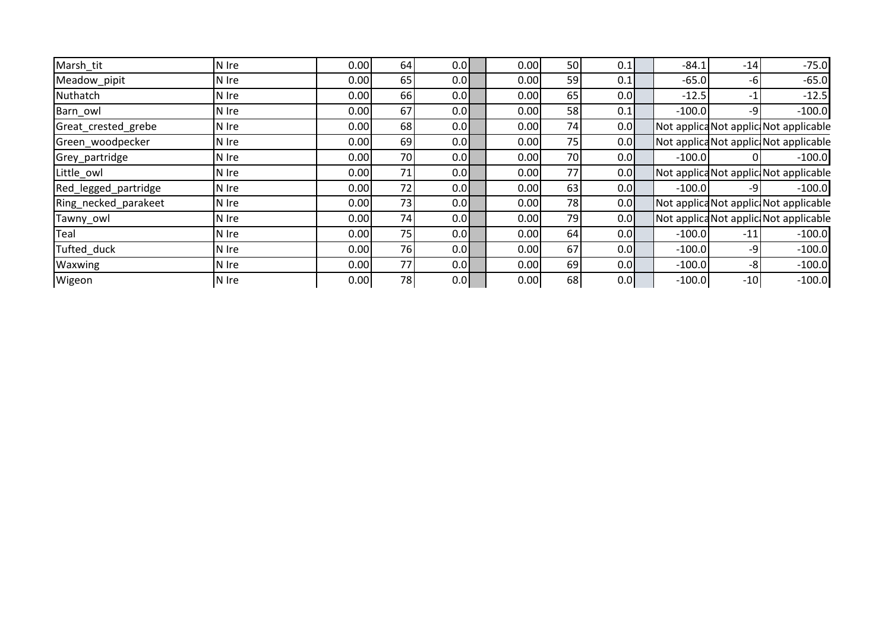| Marsh tit            | N Ire | 0.00 | 64        | 0.0 | 0.00 | 50 | 0.1  | $-84.1$  | $-14$ | $-75.0$                               |
|----------------------|-------|------|-----------|-----|------|----|------|----------|-------|---------------------------------------|
| Meadow_pipit         | N Ire | 0.00 | 65        | 0.0 | 0.00 | 59 | 0.1  | $-65.0$  | -61   | $-65.0$                               |
| Nuthatch             | N Ire | 0.00 | 66        | 0.0 | 0.00 | 65 | 0.0  | $-12.5$  | -1    | $-12.5$                               |
| Barn_owl             | N Ire | 0.00 | 67        | 0.0 | 0.00 | 58 | 0.1  | $-100.0$ | -9    | $-100.0$                              |
| Great crested grebe  | N Ire | 0.00 | 68        | 0.0 | 0.00 | 74 | 0.0  |          |       | Not applica Not applic Not applicable |
| Green woodpecker     | N Ire | 0.00 | 69        | 0.0 | 0.00 | 75 | 0.01 |          |       | Not applica Not applic Not applicable |
| Grey_partridge       | N Ire | 0.00 | 70        | 0.0 | 0.00 | 70 | 0.0  | $-100.0$ |       | $-100.0$                              |
| Little owl           | N Ire | 0.00 | 71        | 0.0 | 0.00 | 77 | 0.0  |          |       | Not applica Not applic Not applicable |
| Red_legged_partridge | N Ire | 0.00 | 72        | 0.0 | 0.00 | 63 | 0.0  | $-100.0$ |       | $-100.0$                              |
| Ring_necked_parakeet | N Ire | 0.00 | 73        | 0.0 | 0.00 | 78 | 0.0  |          |       | Not applica Not applic Not applicable |
| Tawny_owl            | N Ire | 0.00 | 74        | 0.0 | 0.00 | 79 | 0.0  |          |       | Not applica Not applic Not applicable |
| Teal                 | N Ire | 0.00 | 75        | 0.0 | 0.00 | 64 | 0.0  | $-100.0$ | $-11$ | $-100.0$                              |
| Tufted_duck          | N Ire | 0.00 | 76I       | 0.0 | 0.00 | 67 | 0.0  | $-100.0$ | -9    | $-100.0$                              |
| Waxwing              | N Ire | 0.00 | <b>77</b> | 0.0 | 0.00 | 69 | 0.0  | $-100.0$ | -8    | $-100.0$                              |
| Wigeon               | N Ire | 0.00 | 78        | 0.0 | 0.00 | 68 | 0.0  | $-100.0$ | $-10$ | $-100.0$                              |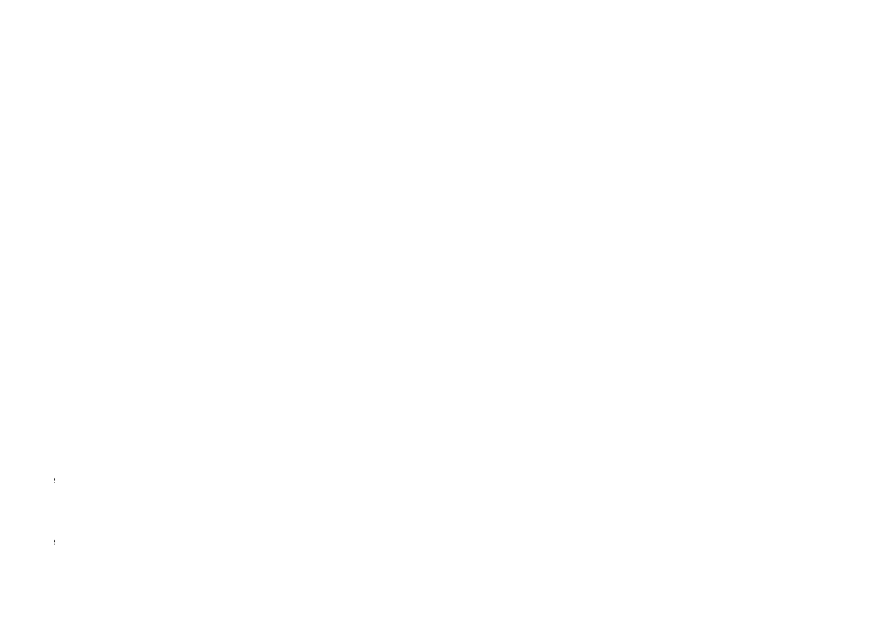$\mathbf{H}^{\text{max}}$  and  $\mathbf{H}^{\text{max}}$ 

## $\sim 1$